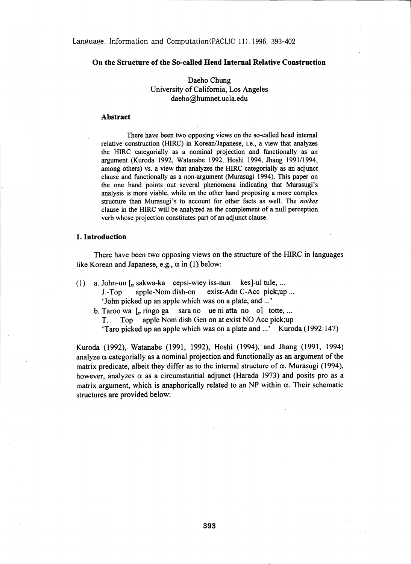Language, Information and Computation(PACLIC 11), 1996, 393-402

#### On the Structure of the So-called Head Internal Relative Construction

# Daeho Chung University of California, Los Angeles daeho@humnet.ucla.edu

### Abstract

There have been two opposing views on the so-called head internal relative construction (HIRC) in Korean/Japanese, i.e., a view that analyzes the HIRC categorially as a nominal projection and functionally as an argument (Kuroda 1992, Watanabe 1992, Hoshi 1994, Jhang 1991/1994, among others) vs. a view that analyzes the HIRC categorially as an adjunct clause and functionally as a non-argument (Murasugi 1994). This paper on the one hand points out several phenomena indicating that Murasugi's analysis is more viable, while on the other hand proposing a more complex structure than Murasugi's to account for other facts as well. The no/kes clause in the HIRC will be analyzed as the complement of a null perception verb whose projection constitutes part of an adjunct clause.

#### 1. Introduction

There have been two opposing views on the structure of the HIRC in languages like Korean and Japanese, e.g.,  $\alpha$  in (1) below:

- (1) a. John-un  $\int_{\alpha}$  sakwa-ka cepsi-wiey iss-nun kes]-ul tule, ... J.-Top apple-Nom dish-on exist-Adn C-Acc pick;up `John picked up an apple which was on a plate, and ...'
	- b. Taroo wa  $\lceil_{\alpha}$  ringo ga sara no ue ni atta no o] totte, ...
		- T. Top apple Nom dish Gen on at exist NO Acc pick;up
		- `Taro picked up an apple which was on a plate and ...' Kuroda (1992:147)

Kuroda (1992), Watanabe (1991, 1992), Hoshi (1994), and Jhang (1991, 1994) analyze  $\alpha$  categorially as a nominal projection and functionally as an argument of the matrix predicate, albeit they differ as to the internal structure of  $\alpha$ . Murasugi (1994), however, analyzes  $\alpha$  as a circumstantial adjunct (Harada 1973) and posits pro as a matrix argument, which is anaphorically related to an NP within  $\alpha$ . Their schematic structures are provided below: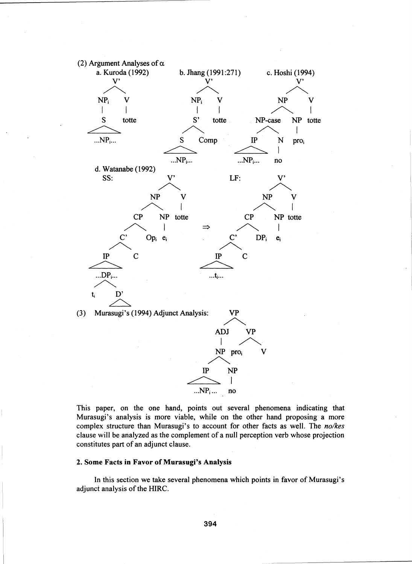

This paper, on the one hand, points out several phenomena indicating that Murasugi's analysis is more viable, while on the other hand proposing a more complex structure than Murasugi's to account for other facts as well. The no/kes clause will be analyzed as the complement of a null perception verb whose projection constitutes part of an adjunct clause.

# 2. Some Facts in Favor of Murasugi's Analysis

In this section we take several phenomena which points in favor of Murasugi's adjunct analysis of the HIRC.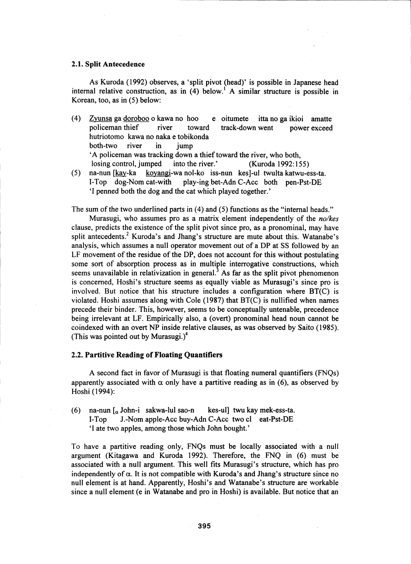### 2.1. Split Antecedence

As Kuroda (1992) observes, a 'split pivot (head)' is possible in Japanese head internal relative construction, as in  $(4)$  below.<sup>1</sup> A similar structure is possible in Korean, too, as in (5) below:

- (4) Zyunsa ga doroboo o kawa no hoo e oitumete itta no ga ikioi amatte policeman thief river toward track-down went power exceed hutriotomo kawa no naka e tobikonda both-two river in jump `A policeman was tracking down a thief toward the river, who both, losing control, jumped into the river.' (Kuroda 1992:155)
- (5) na-nun [kay-ka koyangi-wa nol-ko iss-nun kes]-ul twulta katwu-ess-ta.<br>I-Top dog-Nom cat-with play-ing bet-Adn C-Acc both pen-Pst-DE play-ing bet-Adn C-Acc both pen-Pst-DE `I penned both the dog and the cat which played together.'

The sum of the two underlined parts in (4) and (5) functions as the "internal heads."

Murasugi, who assumes pro as a matrix element independently of the *no/kes* clause, predicts the existence of the split pivot since pro, as a pronominal, may have split antecedents.<sup>2</sup> Kuroda's and Jhang's structure are mute about this. Watanabe's analysis, which assumes a null operator movement out of a DP at SS followed by an LF movement of the residue of the DP, does not account for this without postulating some sort of absorption process as in multiple interrogative constructions, which seems unavailable in relativization in general.<sup>3</sup> As far as the split pivot phenomenon is concerned, Hoshi's structure seems as equally viable as Murasugi's since pro is involved. But notice that his structure includes a configuration where BT(C) is violated. Hoshi assumes along with Cole (1987) that BT(C) is nullified when names precede their binder. This, however, seems to be conceptually untenable, precedence being irrelevant at LF. Empirically also, a (overt) pronominal head noun cannot be coindexed with an overt NP inside relative clauses, as was observed by Saito (1985). (This was pointed out by Murasugi.) $<sup>4</sup>$ </sup>

# 2.2. Partitive Reading of Floating Quantifiers

A second fact in favor of Murasugi is that floating numeral quantifiers (FNQs) apparently associated with  $\alpha$  only have a partitive reading as in (6), as observed by Hoshi (1994):

(6) na-nun  $\lceil_{\alpha}$  John-i sakwa-lul sao-n kes-ul] twu kay mek-ess-ta. I-Top J.-Nom apple-Acc buy-Adn C-Acc two cl eat-Pst-DE `I ate two apples, among those which John bought.'

To have a partitive reading only, FNQs must be locally associated with a null argument (Kitagawa and Kuroda 1992). Therefore, the FNQ in (6) must be associated with a null argument. This well fits Murasugi's structure, which has pro independently of  $\alpha$ . It is not compatible with Kuroda's and Jhang's structure since no null element is at hand. Apparently, Hoshi's and Watanabe's structure are workable since a null element (e in Watanabe and pro in Hoshi) is available. But notice that an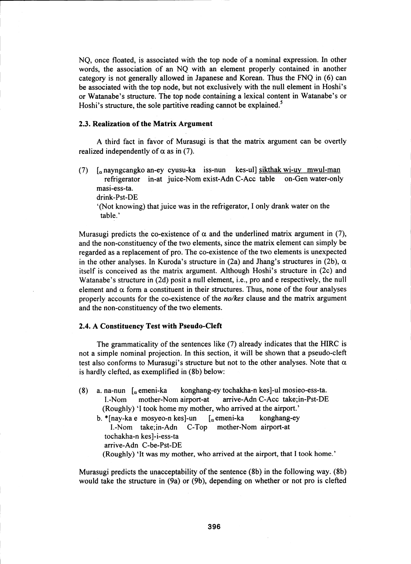NQ, once floated, is associated with the top node of a nominal expression. In other words, the association of an NQ with an element properly contained in another category is not generally allowed in Japanese and Korean. Thus the FNQ in (6) can be associated with the top node, but not exclusively with the null element in Hoshi's or Watanabe's structure. The top node containing a lexical content in Watanabe's or Hoshi's structure, the sole partitive reading cannot be explained.<sup>5</sup>

#### 2.3. Realization of the Matrix Argument

A third fact in favor of Murasugi is that the matrix argument can be overtly realized independently of  $\alpha$  as in (7).

(7)  $\left[\alpha \text{ nayngcangko an-ey cyusu-ka } \text{iss-nun } \text{kes-ul} \right]$  sikthak wi-uy mwul-man refrigerator in-at juice-Nom exist-Adn C-Acc table on-Gen water-only refrigerator in-at juice-Nom exist-Adn C-Acc table masi-ess-ta.

drink-Pst-DE

`(Not knowing) that juice was in the refrigerator, I only drank water on the table.'

Murasugi predicts the co-existence of  $\alpha$  and the underlined matrix argument in (7), and the non-constituency of the two elements, since the matrix element can simply be regarded as a replacement of pro. The co-existence of the two elements is unexpected in the other analyses. In Kuroda's structure in (2a) and Jhang's structures in (2b),  $\alpha$ itself is conceived as the matrix argument. Although Hoshi's structure in (2c) and Watanabe's structure in (2d) posit a null element, i.e., pro and e respectively, the null element and  $\alpha$  form a constituent in their structures. Thus, none of the four analyses properly accounts for the co-existence of the  $no/kes$  clause and the matrix argument and the non-constituency of the two elements.

# 2.4. A Constituency Test with Pseudo-Cleft

The grammaticality of the sentences like (7) already indicates that the HIRC is not a simple nominal projection. In this section, it will be shown that a pseudo-cleft test also conforms to Murasugi's structure but not to the other analyses. Note that  $\alpha$ is hardly clefted, as exemplified in (8b) below:

(8) a. na-nun  $\int_{\alpha}$ emeni-ka konghang-ey tochakha-n kes]-ul mosieo-ess-ta. I.-Nom mother-Nom airport-at arrive-Adn C-Acc take;in-Pst-DE (Roughly) 'I took home my mother, who arrived at the airport.' b. \*[nay-ka e mosyeo-n kes]-un  $\int_{\alpha}$  emeni-ka konghang-ey I.-Nom take;in-Adn C-Top mother-Nom airport-at tochakha-n kes]-i-ess-ta

arrive-Adn C-be-Pst-DE

(Roughly) 'It was my mother, who arrived at the airport, that I took home.'

Murasugi predicts the unacceptability of the sentence (8b) in the following way. (8b) would take the structure in (9a) or (9b), depending on whether or not pro is clefted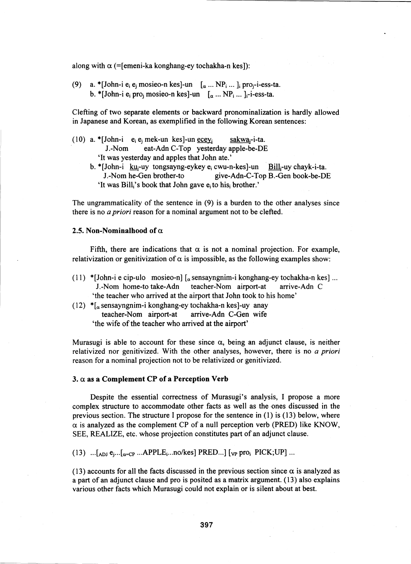along with  $\alpha$  (=[emeni-ka konghang-ey tochakha-n kes]):

(9) a. \* [John-i e<sub>i</sub> e<sub>j</sub> mosieo-n kes]-un  $[\alpha \dots NP_i \dots]_i$  pro<sub>j</sub>-i-ess-ta. b. \*[John-i e<sub>i</sub> pro<sub>i</sub> mosieo-n kes]-un  $[\alpha \dots NP_i \dots]_i$ -i-ess-ta.

Clefting of two separate elements or backward pronominalization is hardly allowed in Japanese and Korean, as exemplified in the following Korean sentences:

- (10) a. \*[John-i e<sub>i</sub> e<sub>i</sub> mek-un kes]-un ecey<sub>i</sub> sakwa -i-ta. J.-Nom eat-Adn C-Top yesterday apple-be-DE `It was yesterday and apples that John ate.'
	- b. \*[John-i ku<sub>i</sub>-uy tongsayng-eykey e<sub>i</sub> cwu-n-kes]-un Bill<sub>i</sub>-uy chayk-i-ta. J.-Nom he-Gen brother-to give-Adn-C-Top B.-Gen book-be-DE 'It was  $\text{Bill}_i$ 's book that John gave  $e_i$  to his, brother.'

The ungrammaticality of the sentence in (9) is a burden to the other analyses since there is no *a priori* reason for a nominal argument not to be clefted.

# 2.5. Non-Nominalhood of  $\alpha$

Fifth, there are indications that  $\alpha$  is not a nominal projection. For example, relativization or genitivization of  $\alpha$  is impossible, as the following examples show:

- (11) \*[John-i e cip-ulo mosieo-n]  $\alpha$  sensayngnim-i konghang-ey tochakha-n kes] ... J.-Nom home-to take-Adn teacher-Nom airport-at arrive-Adn C `the teacher who arrived at the airport that John took to his home'
- (12)  $*$ [<sub>a</sub> sensayngnim-i konghang-ey tochakha-n kes]-uy anay teacher-Nom airport-at arrive-Adn C-Gen wife `the wife of the teacher who arrived at the airport'

Murasugi is able to account for these since  $\alpha$ , being an adjunct clause, is neither relativized nor genitivized. With the other analyses, however, there is no *a priori* reason for a nominal projection not to be relativized or genitivized.

#### $3. \alpha$  as a Complement CP of a Perception Verb

Despite the essential correctness of Murasugi's analysis, I propose a more complex structure to accommodate other facts as well as the ones discussed in the previous section. The structure I propose for the sentence in (1) is (13) below, where  $\alpha$  is analyzed as the complement CP of a null perception verb (PRED) like KNOW, SEE, REALIZE, etc. whose projection constitutes part of an adjunct clause.

(13)  $\ldots$ [ADJ  $e_i \ldots$ [ $\alpha$ =CP  $\ldots$ APPLE<sub>i</sub> $\ldots$ no/kes] PRED...] [<sub>VP</sub> pro<sub>i</sub> PICK;UP] ...

(13) accounts for all the facts discussed in the previous section since  $\alpha$  is analyzed as a part of an adjunct clause and pro is posited as a matrix argument. (13) also explains various other facts which Murasugi could not explain or is silent about at best.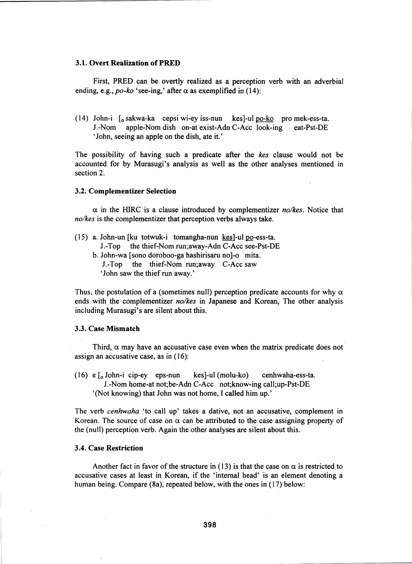# 3.1. Overt Realization of PRED

First, PRED can be overtly realized as a perception verb with an adverbial ending, e.g.,  $po-ko$  'see-ing,' after  $\alpha$  as exemplified in (14):

(14) John-i  $\int_{\alpha}$  sakwa-ka cepsi wi-ey iss-nun kes]-ul po-ko pro mek-ess-ta. J.-Nom apple-Nom dish on-at exist-Adn C-Acc look-ing eat-Pst-DE `John, seeing an apple on the dish, ate it.'

The possibility of having such a predicate after the *kes* clause would not be accounted for by Murasugi's analysis as well as the other analyses mentioned in section 2.

### 3.2. Complementizer Selection

 $\alpha$  in the HIRC is a clause introduced by complementizer  $no/kes$ . Notice that *no/kes* is the complementizer that perception verbs always take.

 $(15)$  a. John-un [ku totwuk-i tomangha-nun kes]-ul po-ess-ta. J.-Top the thief-Nom run;away-Adn C-Acc see-Pst-DE b. John-wa [sono doroboo-ga hashirisaru no]-o mita. J.-Top the thief-Nom run;away C-Acc saw `John saw the thief run away.'

Thus, the postulation of a (sometimes null) perception predicate accounts for why  $\alpha$ ends with the complementizer *no/kes* in Japanese and Korean, The other analysis including Murasugi's are silent about this.

## 3.3. Case Mismatch

Third,  $\alpha$  may have an accusative case even when the matrix predicate does not assign an accusative case, as in (16):

(16)  $e \int_{\alpha}$  John-i cip-ey eps-nun kes]-ul (molu-ko) cenhwaha-ess-ta. J.-Nom home-at not;be-Adn C-Acc not;know-ing call;up-Pst-DE `(Not knowing) that John was not home, I called him up.'

The verb *cenhwaha* 'to call up' takes a dative, not an accusative, complement in Korean. The source of case on  $\alpha$  can be attributed to the case assigning property of the (null) perception verb. Again the other analyses are silent about this.

# 3.4. Case Restriction

Another fact in favor of the structure in (13) is that the case on  $\alpha$  is restricted to accusative cases at least in Korean, if the 'internal head' is an element denoting a human being. Compare (8a), repeated below, with the ones in (17) below: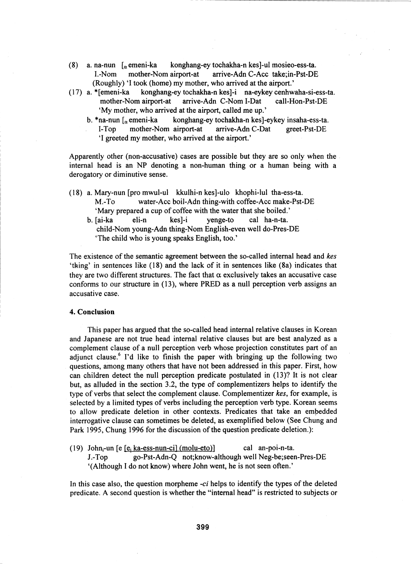- (8) a. na-nun  $\int_{\alpha}$  emeni-ka konghang-ey tochakha-n kes]-ul mosieo-ess-ta. I.-Nom mother-Nom airport-at arrive-Adn C-Acc take;in-Pst-DE (Roughly) 'I took (home) my mother, who arrived at the airport.'
- (17) a. \*[emeni-ka konghang-ey tochakha-n kes]-i na-eykey cenhwaha-si-ess-ta. mother-Nom airport-at arrive-Adn C-Nom I-Dat call-Hon-Pst-DE `My mother, who arrived at the airport, called me up.'
	- b. \*na-nun  $\lceil_{\alpha}$  emeni-ka konghang-ey tochakha-n kes]-eykey insaha-ess-ta. I-Top mother-Nom airport-at arrive-Adn C-Dat greet-Pst-DE `I greeted my mother, who arrived at the airport.'

Apparently other (non-accusative) cases are possible but they are so only when the internal head is an NP denoting a non-human thing or a human being with a derogatory or diminutive sense.

(18) a. Mary-nun [pro mwul-ul kkulhi-n kes]-ulo khophi-lul tha-ess-ta. M.-To water-Acc boil-Adn thing-with coffee-Acc make-Pst-DE `Mary prepared a cup of coffee with the water that she boiled.' b. [ai-ka eli-n kes]-i yenge-to cal ha-n-ta. child-Nom young-Adn thing-Nom English-even well do-Pres-DE `The child who is young speaks English, too.'

The existence of the semantic agreement between the so-called internal head and kes `thing' in sentences like (18) and the lack of it in sentences like (8a) indicates that they are two different structures. The fact that  $\alpha$  exclusively takes an accusative case conforms to our structure in (13), where PRED as a null perception verb assigns an accusative case.

### 4. Conclusion

This paper has argued that the so-called head internal relative clauses in Korean and Japanese are not true head internal relative clauses but are best analyzed as a complement clause of a null perception verb whose projection constitutes part of an adjunct clause.<sup>6</sup> I'd like to finish the paper with bringing up the following two questions, among many others that have not been addressed in this paper. First, how can children detect the null perception predicate postulated in (13)? It is not clear but, as alluded in the section 3.2, the type of complementizers helps to identify the type of verbs that select the complement clause. Complementizer kes, for example, is selected by a limited types of verbs including the perception verb type. Korean seems to allow predicate deletion in other contexts. Predicates that take an embedded interrogative clause can sometimes be deleted, as exemplified below (See Chung and Park 1995, Chung 1996 for the discussion of the question predicate deletion.):

(19) John;-un  $[e_i]$  ka-ess-nun-cil (molu-eto) cal an-poi-n-ta. J.-Top go-Pst-Adn-Q not;know-although well Neg-be;seen-Pres-DE `(Although I do not know) where John went, he is not seen often.'

In this case also, the question morpheme *-ci* helps to identify the types of the deleted predicate. A second question is whether the "internal head" is restricted to subjects or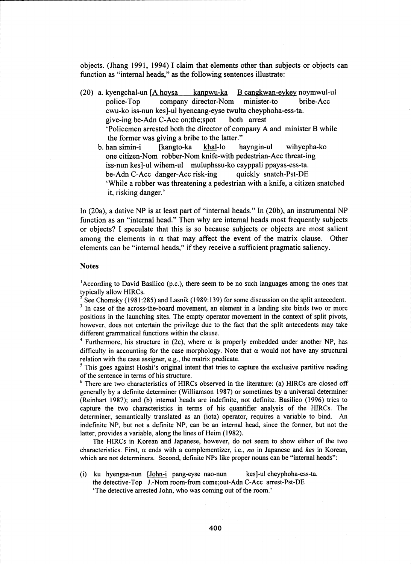objects. (Jhang 1991, 1994) I claim that elements other than subjects or objects can function as "internal heads," as the following sentences illustrate:

- (20) a. kyengchal-un [A hoysa kanpwu-ka B cangkwan-eykey noymwul-ul police-Top company director-Nom minister-to bribe-Acc cwu-ko iss-nun kes]-ul hyencang-eyse twulta cheyphoha-ess-ta. give-ing be-Adn C-Acc on;the;spot both arrest `Policemen arrested both the director of company A and minister B while the former was giving a bribe to the latter."
	- b. han simin-i [kangto-ka khal-lo hayngin-ul wihyepha-ko one citizen-Nom robber-Nom knife-with pedestrian-Acc threat-ing iss-nun kes]-ul wihem-ul muluphssu-ko cayppali ppayas-ess-ta. be-Adn C-Acc danger-Acc risk-ing quickly snatch-Pst-DE `While a robber was threatening a pedestrian with a knife, a citizen snatched it, risking danger.'

In (20a), a dative NP is at least part of "internal heads." In (20b), an instrumental NP function as an "internal head." Then why are internal heads most frequently subjects or objects? I speculate that this is so because subjects or objects are most salient among the elements in  $\alpha$  that may affect the event of the matrix clause. Other elements can be "internal heads," if they receive a sufficient pragmatic saliency.

### Notes

'According to David Basilico (p.c.), there seem to be no such languages among the ones that typically allow HIRCs.

<sup>2</sup> See Chomsky (1981:285) and Lasnik (1989:139) for some discussion on the split antecedent.

<sup>3</sup> In case of the across-the-board movement, an element in a landing site binds two or more positions in the launching sites. The empty operator movement in the context of split pivots, however, does not entertain the privilege due to the fact that the split antecedents may take different grammatical functions within the clause.

<sup>4</sup> Furthermore, his structure in (2c), where  $\alpha$  is properly embedded under another NP, has difficulty in accounting for the case morphology. Note that  $\alpha$  would not have any structural relation with the case assigner, e.g., the matrix predicate.

 $<sup>5</sup>$  This goes against Hoshi's original intent that tries to capture the exclusive partitive reading</sup> of the sentence in terms of his structure.

<sup>6</sup> There are two characteristics of HIRCs observed in the literature: (a) HIRCs are closed off generally by a definite determiner (Williamson 1987) or sometimes by a universal determiner (Reinhart 1987); and (b) internal heads are indefinite, not definite. Basilico (1996) tries to capture the two characteristics in terms of his quantifier analysis of the HIRCs. The determiner, semantically translated as an (iota) operator, requires a variable to bind. An indefinite NP, but not a definite NP, can be an internal head, since the former, but not the latter, provides a variable, along the lines of Heim (1982).

The HIRCs in Korean and Japanese, however, do not seem to show either of the two characteristics. First,  $\alpha$  ends with a complementizer, i.e., *no* in Japanese and kes in Korean, which are not determiners. Second, definite NPs like proper nouns can be "internal heads":

(i) ku hyengsa-nun [John-i pang-eyse nao-nun kes]-ul cheyphoha-ess-ta. the detective-Top J.-Nom room-from come;out-Adn C-Acc arrest-Pst-DE `The detective arrested John, who was coming out of the room.'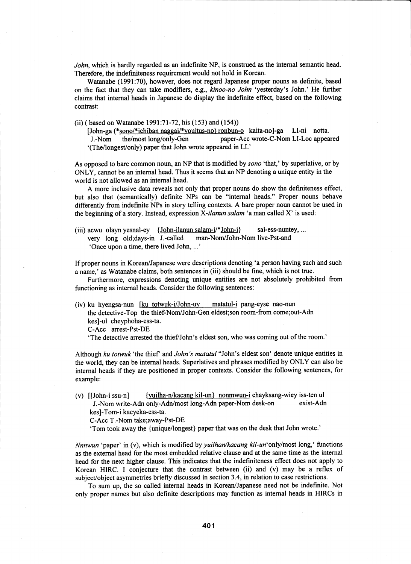*John,* which is hardly regarded as an indefinite NP, is construed as the internal semantic head. Therefore, the indefiniteness requirement would not hold in Korean.

Watanabe (1991:70), however, does not regard Japanese proper nouns as definite, based on the fact that they can take modifiers, e.g., *kinoo-no John* 'yesterday's John.' He further claims that internal heads in Japanese do display the indefinite effect, based on the following contrast:

(ii) ( based on Watanabe 1991:71-72, his (153) and (154))

[John-ga (\*sono/\*ichiban naggai/\*youitus-no) ronbun-o kaita-no]-ga LI-ni notta. J.-Nom the/most long/only-Gen paper-Acc wrote-C-Nom LI-Loc appeared `(The/longest/only) paper that John wrote appeared in LI.'

As opposed to bare common noun, an NP that is modified by *sono* 'that,' by superlative, or by ONLY, cannot be an internal head. Thus it seems that an NP denoting a unique entity in the world is not allowed as an internal head.

A more inclusive data reveals not only that proper nouns do show the definiteness effect, but also that (semantically) definite NPs can be "internal heads." Proper nouns behave differently from indefinite NPs in story telling contexts. A bare proper noun cannot be used in the beginning of a story. Instead, expression *X-ilanun salam 'a man* called X' is used:

(iii) acwu olayn yesnal-ey  $\{\underline{John\text{-}ilanun \text{-}salm\text{-}l'}^* \underline{John\text{-}l}\}$  sal-ess-nuntey, ...<br>very long old:davs-in J.-called man-Nom/John-Nom live-Pst-and very long old;days-in J.-called `Once upon a time, there lived John, ...'

If proper nouns in Korean/Japanese were descriptions denoting 'a person having such and such a name,' as Watanabe claims, both sentences in (iii) should be fine, which is not true.

Furthermore, expressions denoting unique entities are not absolutely prohibited from functioning as internal heads. Consider the following sentences:

(iv) ku hyengsa-nun [ku totwuk-i/John-uy matatul-i pang-eyse nao-nun the detective-Top the thief-Nom/John-Gen eldest;son room-from come;out-Adn kes]-ul cheyphoha-ess-ta.

C-Acc arrest-Pst-DE

`The detective arrested the thief/John's eldest son, who was coming out of the room.'

Although *ku totwuk* 'the thief and *John's matatul* "John's eldest son' denote unique entities in the world, they can be internal heads. Superlatives and phrases modified by ONLY can also be internal heads if they are positioned in proper contexts. Consider the following sentences, for example:

(v) [[John-i ssu-n] {yuilha-n/kacang kil-un} nonmwun-i chayksang-wiey iss-ten ul J.-Nom write-Adn only-Adn/most long-Adn paper-Nom desk-on exist-Adn kes]-Tom-i kacyeka-ess-ta.

C-Acc T.-Nom take;away-Pst-DE

`Tom took away the {unique/longest} paper that was on the desk that John wrote.'

*Nnnwun* 'paper' in (v), which is modified by *yuilhan/kacang* kii-un'only/most long,' functions as the external head for the most embedded relative clause and at the same time as the internal head for the next higher clause. This indicates that the indefiniteness effect does not apply to Korean HIRC. I conjecture that the contrast between (ii) and (v) may be a reflex of subject/object asymmetries briefly discussed in section 3.4, in relation to case restrictions.

To sum up, the so called internal heads in Korean/Japanese need not be indefinite. Not only proper names but also definite descriptions may function as internal heads in HIRCs in